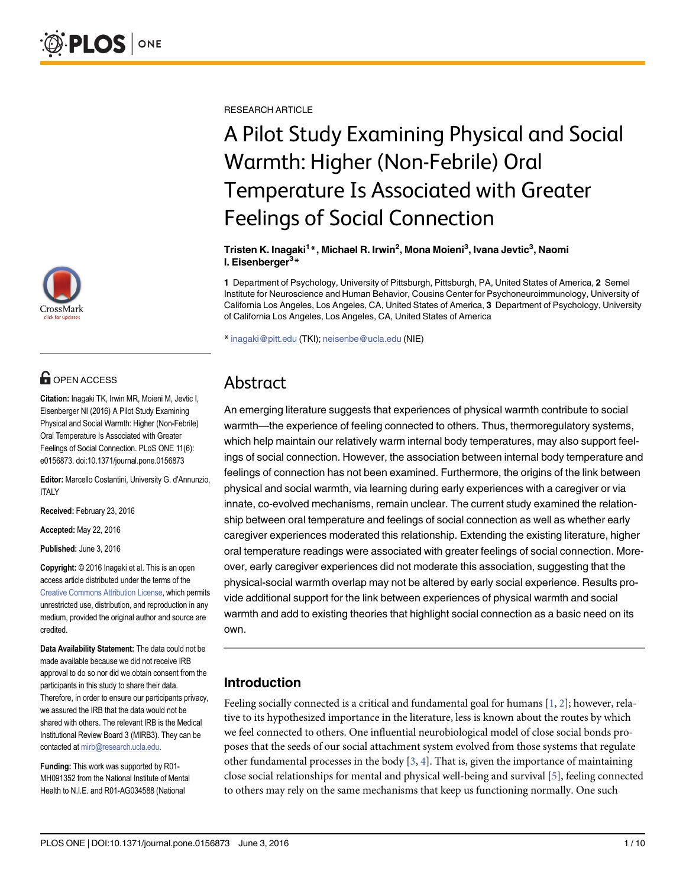

# **G** OPEN ACCESS

Citation: Inagaki TK, Irwin MR, Moieni M, Jevtic I, Eisenberger NI (2016) A Pilot Study Examining Physical and Social Warmth: Higher (Non-Febrile) Oral Temperature Is Associated with Greater Feelings of Social Connection. PLoS ONE 11(6): e0156873. doi:10.1371/journal.pone.0156873

Editor: Marcello Costantini, University G. d'Annunzio, ITALY

Received: February 23, 2016

Accepted: May 22, 2016

Published: June 3, 2016

Copyright: © 2016 Inagaki et al. This is an open access article distributed under the terms of the Creative Commons Attribution License, which permits unrestricted use, distribution, and reproduction in any medium, provided the original author and source are credited.

Data Availability Statement: The data could not be made available because we did not receive IRB approval to do so nor did we obtain consent from the participants in this study to share their data. Therefore, in order to ensure our participants privacy, we assured the IRB that the data would not be shared with others. The relevant IRB is the Medical Institutional Review Board 3 (MIRB3). They can be contacted at mirb@research.ucla.edu.

Funding: This work was supported by R01- MH091352 from the National Institute of Mental Health to N.I.E. and R01-AG034588 (National

RESEARCH ARTICLE

# A Pilot Study Examining Physical and Social Warmth: Higher (Non-Febrile) Oral Temperature Is Associated with Greater Feelings of Social Connection

#### Tristen K. Inagaki<sup>1</sup>\*, Michael R. Irwin<sup>2</sup>, Mona Moieni<sup>3</sup>, Ivana Jevtic<sup>3</sup>, Naomi l. Eisenberger3\*

1 Department of Psychology, University of Pittsburgh, Pittsburgh, PA, United States of America, 2 Semel Institute for Neuroscience and Human Behavior, Cousins Center for Psychoneuroimmunology, University of California Los Angeles, Los Angeles, CA, United States of America, 3 Department of Psychology, University of California Los Angeles, Los Angeles, CA, United States of America

\* inagaki@pitt.edu (TKI); neisenbe@ucla.edu (NIE)

## Abstract

An emerging literature suggests that experiences of physical warmth contribute to social warmth—the experience of feeling connected to others. Thus, thermoregulatory systems, which help maintain our relatively warm internal body temperatures, may also support feelings of social connection. However, the association between internal body temperature and feelings of connection has not been examined. Furthermore, the origins of the link between physical and social warmth, via learning during early experiences with a caregiver or via innate, co-evolved mechanisms, remain unclear. The current study examined the relationship between oral temperature and feelings of social connection as well as whether early caregiver experiences moderated this relationship. Extending the existing literature, higher oral temperature readings were associated with greater feelings of social connection. Moreover, early caregiver experiences did not moderate this association, suggesting that the physical-social warmth overlap may not be altered by early social experience. Results provide additional support for the link between experiences of physical warmth and social warmth and add to existing theories that highlight social connection as a basic need on its own.

## Introduction

Feeling socially connected is a critical and fundamental goal for humans  $[1, 2]$ ; however, relative to its hypothesized importance in the literature, less is known about the routes by which we feel connected to others. One influential neurobiological model of close social bonds proposes that the seeds of our social attachment system evolved from those systems that regulate other fundamental processes in the body  $[3, 4]$ . That is, given the importance of maintaining close social relationships for mental and physical well-being and survival [5], feeling connected to others may rely on the same mechanisms that keep us functioning normally. One such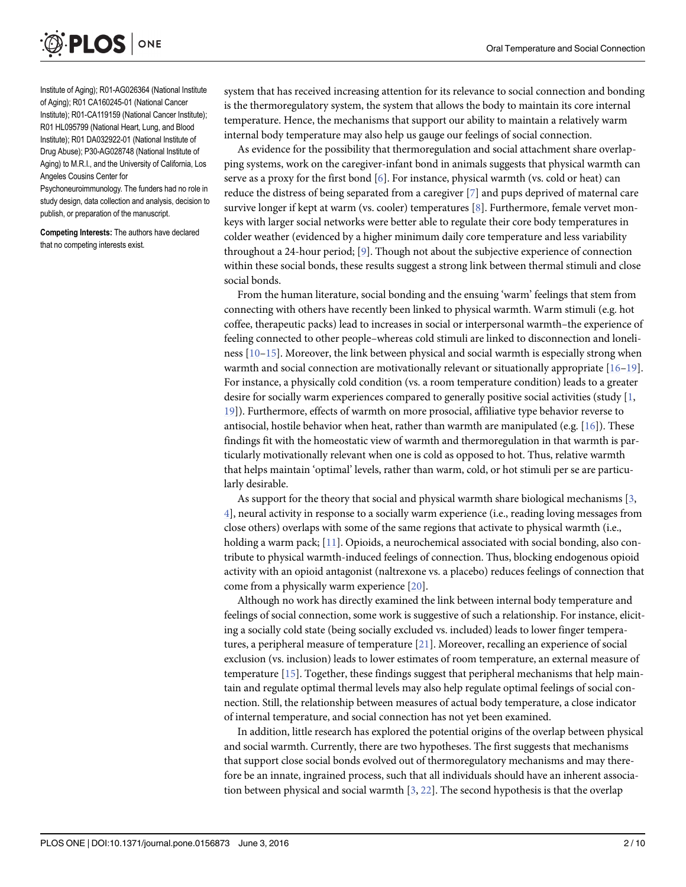

Institute of Aging); R01-AG026364 (National Institute of Aging); R01 CA160245-01 (National Cancer Institute); R01-CA119159 (National Cancer Institute); R01 HL095799 (National Heart, Lung, and Blood Institute); R01 DA032922-01 (National Institute of Drug Abuse); P30-AG028748 (National Institute of Aging) to M.R.I., and the University of California, Los Angeles Cousins Center for

Psychoneuroimmunology. The funders had no role in study design, data collection and analysis, decision to publish, or preparation of the manuscript.

Competing Interests: The authors have declared that no competing interests exist.

system that has received increasing attention for its relevance to social connection and bonding is the thermoregulatory system, the system that allows the body to maintain its core internal temperature. Hence, the mechanisms that support our ability to maintain a relatively warm internal body temperature may also help us gauge our feelings of social connection.

As evidence for the possibility that thermoregulation and social attachment share overlapping systems, work on the caregiver-infant bond in animals suggests that physical warmth can serve as a proxy for the first bond  $[6]$ . For instance, physical warmth (vs. cold or heat) can reduce the distress of being separated from a caregiver [7] and pups deprived of maternal care survive longer if kept at warm (vs. cooler) temperatures [8]. Furthermore, female vervet monkeys with larger social networks were better able to regulate their core body temperatures in colder weather (evidenced by a higher minimum daily core temperature and less variability throughout a 24-hour period; [9]. Though not about the subjective experience of connection within these social bonds, these results suggest a strong link between thermal stimuli and close social bonds.

From the human literature, social bonding and the ensuing 'warm' feelings that stem from connecting with others have recently been linked to physical warmth. Warm stimuli (e.g. hot coffee, therapeutic packs) lead to increases in social or interpersonal warmth–the experience of feeling connected to other people–whereas cold stimuli are linked to disconnection and loneliness [10–15]. Moreover, the link between physical and social warmth is especially strong when warmth and social connection are motivationally relevant or situationally appropriate  $[16-19]$ . For instance, a physically cold condition (vs. a room temperature condition) leads to a greater desire for socially warm experiences compared to generally positive social activities (study  $[1, 1]$ 19]). Furthermore, effects of warmth on more prosocial, affiliative type behavior reverse to antisocial, hostile behavior when heat, rather than warmth are manipulated (e.g.  $[16]$ ). These findings fit with the homeostatic view of warmth and thermoregulation in that warmth is particularly motivationally relevant when one is cold as opposed to hot. Thus, relative warmth that helps maintain 'optimal' levels, rather than warm, cold, or hot stimuli per se are particularly desirable.

As support for the theory that social and physical warmth share biological mechanisms  $[3, 3]$ 4], neural activity in response to a socially warm experience (i.e., reading loving messages from close others) overlaps with some of the same regions that activate to physical warmth (i.e., holding a warm pack; [11]. Opioids, a neurochemical associated with social bonding, also contribute to physical warmth-induced feelings of connection. Thus, blocking endogenous opioid activity with an opioid antagonist (naltrexone vs. a placebo) reduces feelings of connection that come from a physically warm experience [20].

Although no work has directly examined the link between internal body temperature and feelings of social connection, some work is suggestive of such a relationship. For instance, eliciting a socially cold state (being socially excluded vs. included) leads to lower finger temperatures, a peripheral measure of temperature [21]. Moreover, recalling an experience of social exclusion (vs. inclusion) leads to lower estimates of room temperature, an external measure of temperature [15]. Together, these findings suggest that peripheral mechanisms that help maintain and regulate optimal thermal levels may also help regulate optimal feelings of social connection. Still, the relationship between measures of actual body temperature, a close indicator of internal temperature, and social connection has not yet been examined.

In addition, little research has explored the potential origins of the overlap between physical and social warmth. Currently, there are two hypotheses. The first suggests that mechanisms that support close social bonds evolved out of thermoregulatory mechanisms and may therefore be an innate, ingrained process, such that all individuals should have an inherent association between physical and social warmth  $[3, 22]$ . The second hypothesis is that the overlap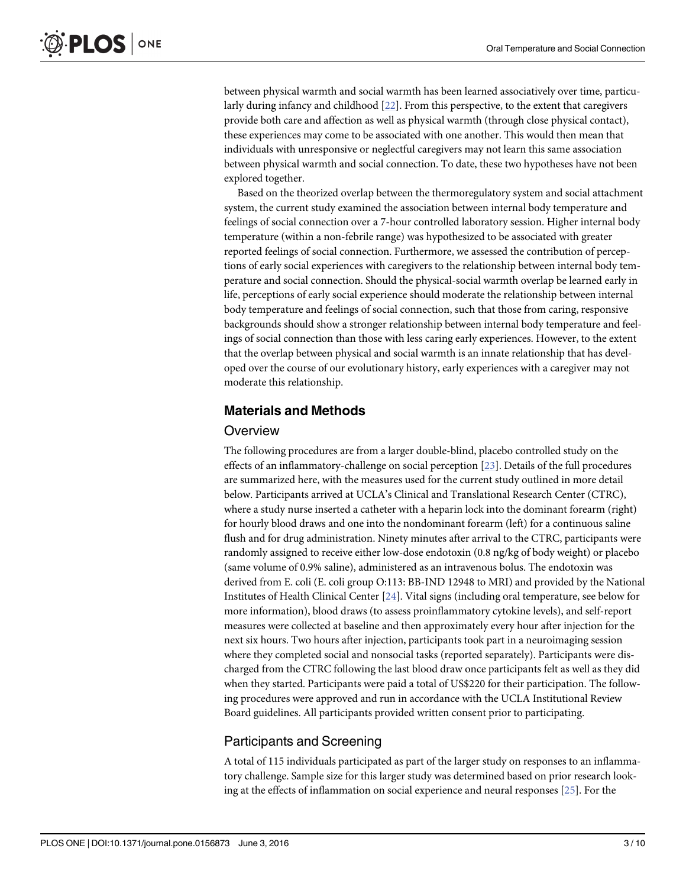between physical warmth and social warmth has been learned associatively over time, particularly during infancy and childhood [22]. From this perspective, to the extent that caregivers provide both care and affection as well as physical warmth (through close physical contact), these experiences may come to be associated with one another. This would then mean that individuals with unresponsive or neglectful caregivers may not learn this same association between physical warmth and social connection. To date, these two hypotheses have not been explored together.

Based on the theorized overlap between the thermoregulatory system and social attachment system, the current study examined the association between internal body temperature and feelings of social connection over a 7-hour controlled laboratory session. Higher internal body temperature (within a non-febrile range) was hypothesized to be associated with greater reported feelings of social connection. Furthermore, we assessed the contribution of perceptions of early social experiences with caregivers to the relationship between internal body temperature and social connection. Should the physical-social warmth overlap be learned early in life, perceptions of early social experience should moderate the relationship between internal body temperature and feelings of social connection, such that those from caring, responsive backgrounds should show a stronger relationship between internal body temperature and feelings of social connection than those with less caring early experiences. However, to the extent that the overlap between physical and social warmth is an innate relationship that has developed over the course of our evolutionary history, early experiences with a caregiver may not moderate this relationship.

## Materials and Methods

#### **Overview**

The following procedures are from a larger double-blind, placebo controlled study on the effects of an inflammatory-challenge on social perception [23]. Details of the full procedures are summarized here, with the measures used for the current study outlined in more detail below. Participants arrived at UCLA's Clinical and Translational Research Center (CTRC), where a study nurse inserted a catheter with a heparin lock into the dominant forearm (right) for hourly blood draws and one into the nondominant forearm (left) for a continuous saline flush and for drug administration. Ninety minutes after arrival to the CTRC, participants were randomly assigned to receive either low-dose endotoxin (0.8 ng/kg of body weight) or placebo (same volume of 0.9% saline), administered as an intravenous bolus. The endotoxin was derived from E. coli (E. coli group O:113: BB-IND 12948 to MRI) and provided by the National Institutes of Health Clinical Center [24]. Vital signs (including oral temperature, see below for more information), blood draws (to assess proinflammatory cytokine levels), and self-report measures were collected at baseline and then approximately every hour after injection for the next six hours. Two hours after injection, participants took part in a neuroimaging session where they completed social and nonsocial tasks (reported separately). Participants were discharged from the CTRC following the last blood draw once participants felt as well as they did when they started. Participants were paid a total of US\$220 for their participation. The following procedures were approved and run in accordance with the UCLA Institutional Review Board guidelines. All participants provided written consent prior to participating.

## Participants and Screening

A total of 115 individuals participated as part of the larger study on responses to an inflammatory challenge. Sample size for this larger study was determined based on prior research looking at the effects of inflammation on social experience and neural responses  $[25]$ . For the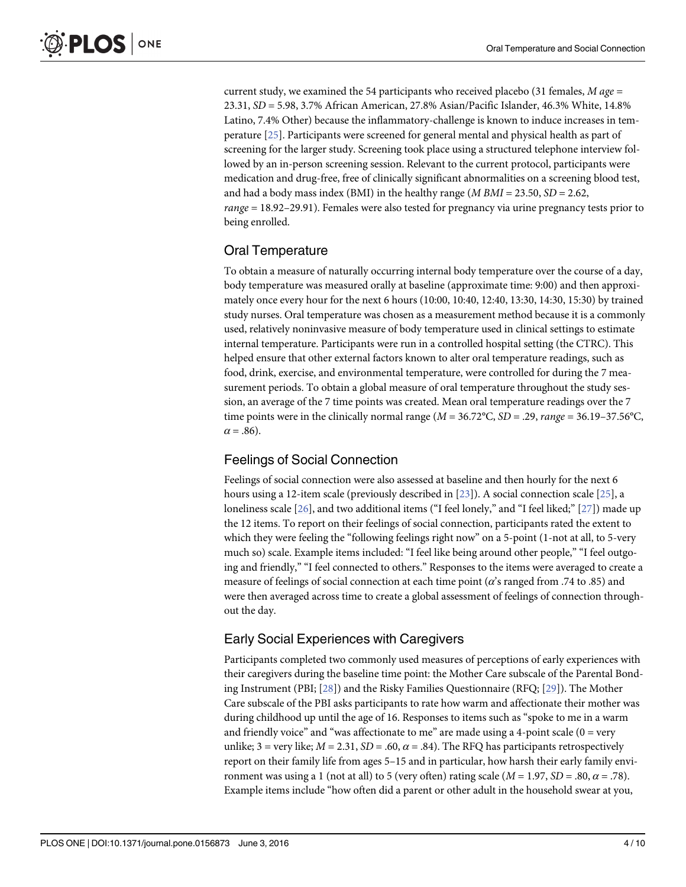current study, we examined the 54 participants who received placebo (31 females,  $M$  age = 23.31, SD = 5.98, 3.7% African American, 27.8% Asian/Pacific Islander, 46.3% White, 14.8% Latino, 7.4% Other) because the inflammatory-challenge is known to induce increases in temperature [25]. Participants were screened for general mental and physical health as part of screening for the larger study. Screening took place using a structured telephone interview followed by an in-person screening session. Relevant to the current protocol, participants were medication and drug-free, free of clinically significant abnormalities on a screening blood test, and had a body mass index (BMI) in the healthy range (*M BMI* = 23.50, *SD* = 2.62, range = 18.92–29.91). Females were also tested for pregnancy via urine pregnancy tests prior to being enrolled.

## Oral Temperature

To obtain a measure of naturally occurring internal body temperature over the course of a day, body temperature was measured orally at baseline (approximate time: 9:00) and then approximately once every hour for the next 6 hours (10:00, 10:40, 12:40, 13:30, 14:30, 15:30) by trained study nurses. Oral temperature was chosen as a measurement method because it is a commonly used, relatively noninvasive measure of body temperature used in clinical settings to estimate internal temperature. Participants were run in a controlled hospital setting (the CTRC). This helped ensure that other external factors known to alter oral temperature readings, such as food, drink, exercise, and environmental temperature, were controlled for during the 7 measurement periods. To obtain a global measure of oral temperature throughout the study session, an average of the 7 time points was created. Mean oral temperature readings over the 7 time points were in the clinically normal range ( $M = 36.72^{\circ}$ C,  $SD = .29$ , range = 36.19–37.56°C,  $\alpha = .86$ ).

## Feelings of Social Connection

Feelings of social connection were also assessed at baseline and then hourly for the next 6 hours using a 12-item scale (previously described in [23]). A social connection scale [25], a loneliness scale [26], and two additional items ("I feel lonely," and "I feel liked;" [27]) made up the 12 items. To report on their feelings of social connection, participants rated the extent to which they were feeling the "following feelings right now" on a 5-point (1-not at all, to 5-very much so) scale. Example items included: "I feel like being around other people," "I feel outgoing and friendly," "I feel connected to others." Responses to the items were averaged to create a measure of feelings of social connection at each time point ( $\alpha$ 's ranged from .74 to .85) and were then averaged across time to create a global assessment of feelings of connection throughout the day.

## Early Social Experiences with Caregivers

Participants completed two commonly used measures of perceptions of early experiences with their caregivers during the baseline time point: the Mother Care subscale of the Parental Bonding Instrument (PBI; [28]) and the Risky Families Questionnaire (RFQ; [29]). The Mother Care subscale of the PBI asks participants to rate how warm and affectionate their mother was during childhood up until the age of 16. Responses to items such as "spoke to me in a warm and friendly voice" and "was affectionate to me" are made using a 4-point scale  $(0 = \text{very }$ unlike; 3 = very like;  $M = 2.31$ ,  $SD = .60$ ,  $\alpha = .84$ ). The RFQ has participants retrospectively report on their family life from ages 5–15 and in particular, how harsh their early family environment was using a 1 (not at all) to 5 (very often) rating scale ( $M = 1.97$ ,  $SD = .80$ ,  $\alpha = .78$ ). Example items include "how often did a parent or other adult in the household swear at you,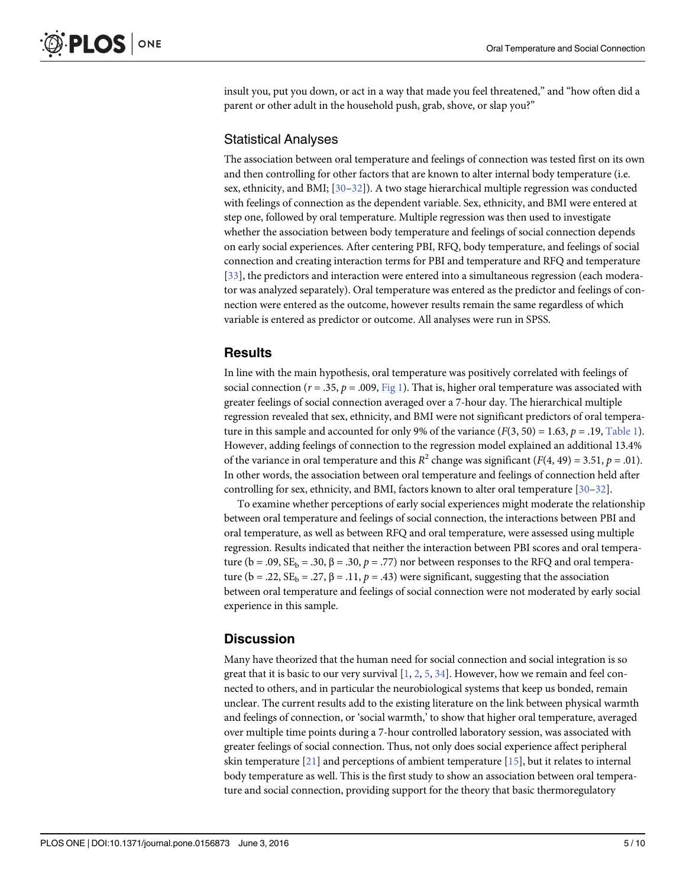insult you, put you down, or act in a way that made you feel threatened," and "how often did a parent or other adult in the household push, grab, shove, or slap you?"

#### Statistical Analyses

The association between oral temperature and feelings of connection was tested first on its own and then controlling for other factors that are known to alter internal body temperature (i.e. sex, ethnicity, and BMI;  $[30-32]$ ). A two stage hierarchical multiple regression was conducted with feelings of connection as the dependent variable. Sex, ethnicity, and BMI were entered at step one, followed by oral temperature. Multiple regression was then used to investigate whether the association between body temperature and feelings of social connection depends on early social experiences. After centering PBI, RFQ, body temperature, and feelings of social connection and creating interaction terms for PBI and temperature and RFQ and temperature [33], the predictors and interaction were entered into a simultaneous regression (each moderator was analyzed separately). Oral temperature was entered as the predictor and feelings of connection were entered as the outcome, however results remain the same regardless of which variable is entered as predictor or outcome. All analyses were run in SPSS.

## Results

In line with the main hypothesis, oral temperature was positively correlated with feelings of social connection ( $r = .35$ ,  $p = .009$ ,  $\underline{Fig 1}$ ). That is, higher oral temperature was associated with greater feelings of social connection averaged over a 7-hour day. The hierarchical multiple regression revealed that sex, ethnicity, and BMI were not significant predictors of oral temperature in this sample and accounted for only 9% of the variance  $(F(3, 50) = 1.63, p = .19,$  Table 1). However, adding feelings of connection to the regression model explained an additional 13.4% of the variance in oral temperature and this  $R^2$  change was significant ( $F(4, 49) = 3.51$ ,  $p = .01$ ). In other words, the association between oral temperature and feelings of connection held after controlling for sex, ethnicity, and BMI, factors known to alter oral temperature [30–32].

To examine whether perceptions of early social experiences might moderate the relationship between oral temperature and feelings of social connection, the interactions between PBI and oral temperature, as well as between RFQ and oral temperature, were assessed using multiple regression. Results indicated that neither the interaction between PBI scores and oral temperature ( $b = .09$ ,  $SE_b = .30$ ,  $\beta = .30$ ,  $p = .77$ ) nor between responses to the RFQ and oral temperature (b = .22,  $SE_b$  = .27,  $\beta$  = .11,  $p$  = .43) were significant, suggesting that the association between oral temperature and feelings of social connection were not moderated by early social experience in this sample.

## **Discussion**

Many have theorized that the human need for social connection and social integration is so great that it is basic to our very survival  $[1, 2, 5, 34]$ . However, how we remain and feel connected to others, and in particular the neurobiological systems that keep us bonded, remain unclear. The current results add to the existing literature on the link between physical warmth and feelings of connection, or 'social warmth,' to show that higher oral temperature, averaged over multiple time points during a 7-hour controlled laboratory session, was associated with greater feelings of social connection. Thus, not only does social experience affect peripheral skin temperature  $[21]$  and perceptions of ambient temperature  $[15]$ , but it relates to internal body temperature as well. This is the first study to show an association between oral temperature and social connection, providing support for the theory that basic thermoregulatory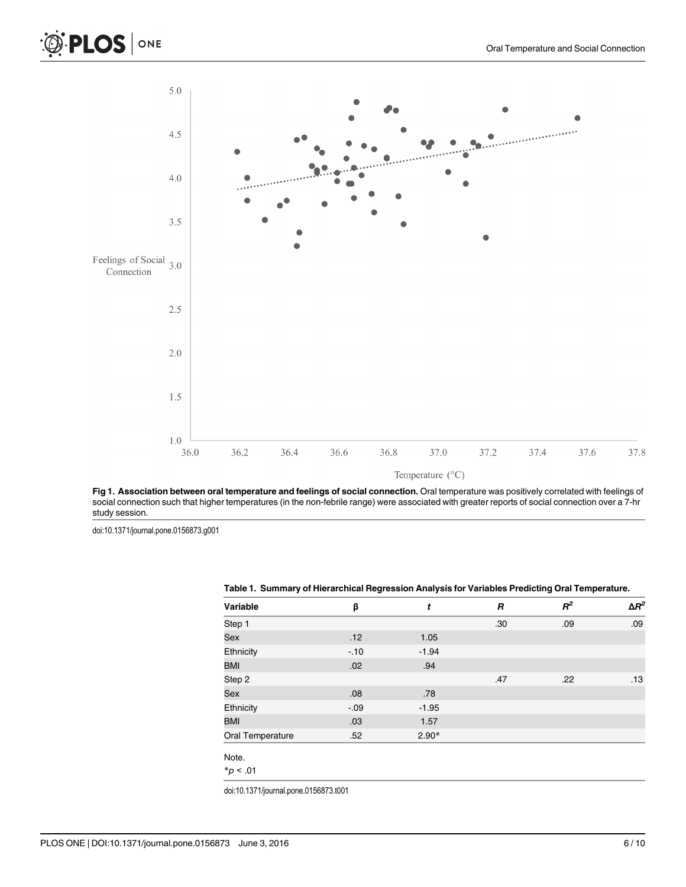



Fig 1. Association between oral temperature and feelings of social connection. Oral temperature was positively correlated with feelings of social connection such that higher temperatures (in the non-febrile range) were associated with greater reports of social connection over a 7-hr study session.

doi:10.1371/journal.pone.0156873.g001

| Variable         | β       | t       | R   | $R^2$ | $\Delta R^2$ |
|------------------|---------|---------|-----|-------|--------------|
| Step 1           |         |         | .30 | .09   | .09          |
| Sex              | .12     | 1.05    |     |       |              |
| Ethnicity        | $-10$   | $-1.94$ |     |       |              |
| <b>BMI</b>       | .02     | .94     |     |       |              |
| Step 2           |         |         | .47 | .22   | .13          |
| Sex              | .08     | .78     |     |       |              |
| Ethnicity        | $-0.09$ | $-1.95$ |     |       |              |
| <b>BMI</b>       | .03     | 1.57    |     |       |              |
| Oral Temperature | .52     | $2.90*$ |     |       |              |
| Note.            |         |         |     |       |              |
| $*_{p}$ < .01    |         |         |     |       |              |

#### Table 1. Summary of Hierarchical Regression Analysis for Variables Predicting Oral Temperature.

doi:10.1371/journal.pone.0156873.t001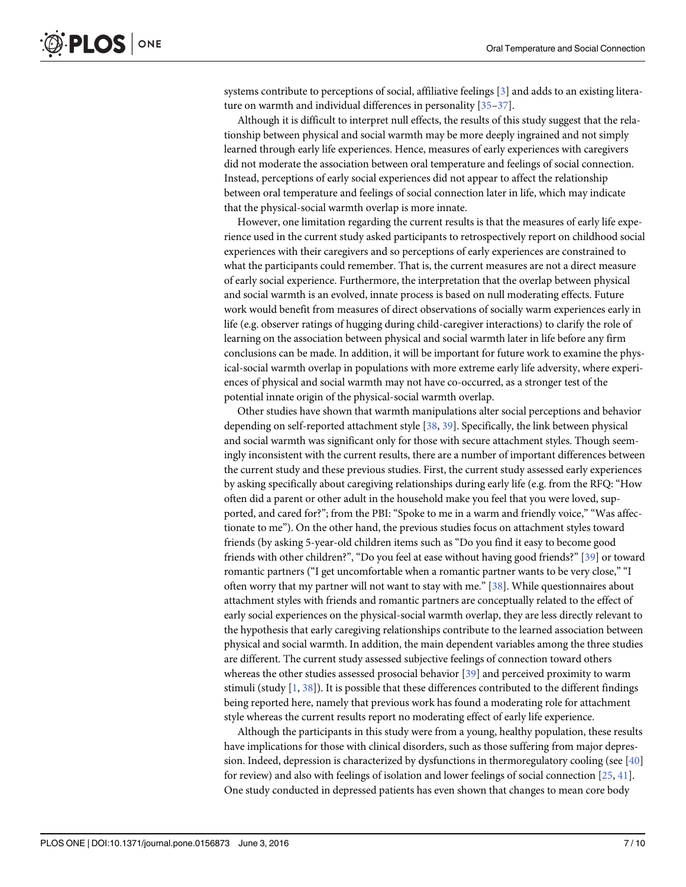systems contribute to perceptions of social, affiliative feelings [3] and adds to an existing literature on warmth and individual differences in personality [35–37].

Although it is difficult to interpret null effects, the results of this study suggest that the relationship between physical and social warmth may be more deeply ingrained and not simply learned through early life experiences. Hence, measures of early experiences with caregivers did not moderate the association between oral temperature and feelings of social connection. Instead, perceptions of early social experiences did not appear to affect the relationship between oral temperature and feelings of social connection later in life, which may indicate that the physical-social warmth overlap is more innate.

However, one limitation regarding the current results is that the measures of early life experience used in the current study asked participants to retrospectively report on childhood social experiences with their caregivers and so perceptions of early experiences are constrained to what the participants could remember. That is, the current measures are not a direct measure of early social experience. Furthermore, the interpretation that the overlap between physical and social warmth is an evolved, innate process is based on null moderating effects. Future work would benefit from measures of direct observations of socially warm experiences early in life (e.g. observer ratings of hugging during child-caregiver interactions) to clarify the role of learning on the association between physical and social warmth later in life before any firm conclusions can be made. In addition, it will be important for future work to examine the physical-social warmth overlap in populations with more extreme early life adversity, where experiences of physical and social warmth may not have co-occurred, as a stronger test of the potential innate origin of the physical-social warmth overlap.

Other studies have shown that warmth manipulations alter social perceptions and behavior depending on self-reported attachment style [38, 39]. Specifically, the link between physical and social warmth was significant only for those with secure attachment styles. Though seemingly inconsistent with the current results, there are a number of important differences between the current study and these previous studies. First, the current study assessed early experiences by asking specifically about caregiving relationships during early life (e.g. from the RFQ: "How often did a parent or other adult in the household make you feel that you were loved, supported, and cared for?"; from the PBI: "Spoke to me in a warm and friendly voice," "Was affectionate to me"). On the other hand, the previous studies focus on attachment styles toward friends (by asking 5-year-old children items such as "Do you find it easy to become good friends with other children?", "Do you feel at ease without having good friends?" [39] or toward romantic partners ("I get uncomfortable when a romantic partner wants to be very close," "I often worry that my partner will not want to stay with me." [38]. While questionnaires about attachment styles with friends and romantic partners are conceptually related to the effect of early social experiences on the physical-social warmth overlap, they are less directly relevant to the hypothesis that early caregiving relationships contribute to the learned association between physical and social warmth. In addition, the main dependent variables among the three studies are different. The current study assessed subjective feelings of connection toward others whereas the other studies assessed prosocial behavior [39] and perceived proximity to warm stimuli (study  $[1, 38]$ ). It is possible that these differences contributed to the different findings being reported here, namely that previous work has found a moderating role for attachment style whereas the current results report no moderating effect of early life experience.

Although the participants in this study were from a young, healthy population, these results have implications for those with clinical disorders, such as those suffering from major depression. Indeed, depression is characterized by dysfunctions in thermoregulatory cooling (see [40] for review) and also with feelings of isolation and lower feelings of social connection  $[25, 41]$ . One study conducted in depressed patients has even shown that changes to mean core body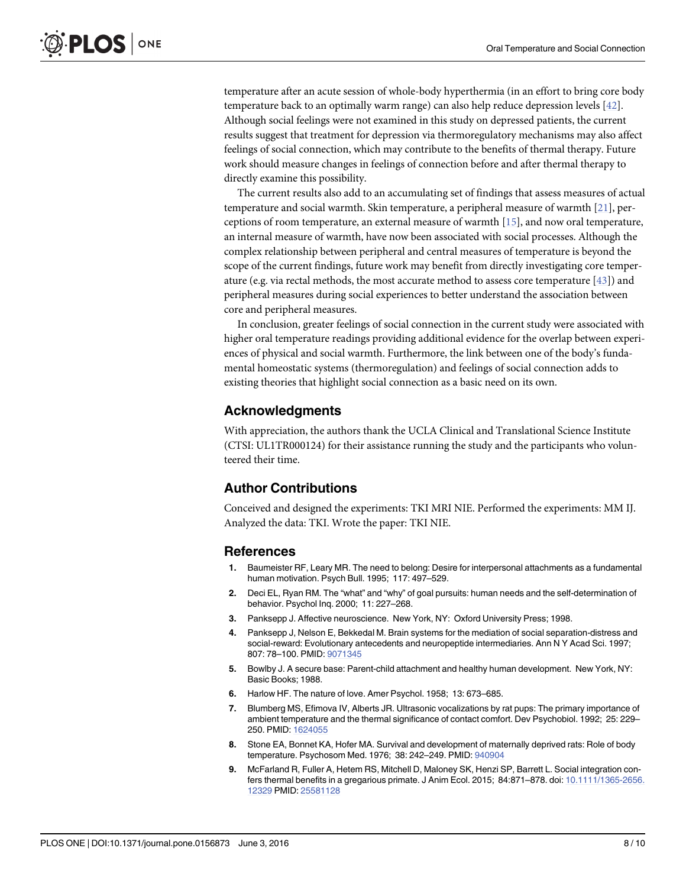temperature after an acute session of whole-body hyperthermia (in an effort to bring core body temperature back to an optimally warm range) can also help reduce depression levels [42]. Although social feelings were not examined in this study on depressed patients, the current results suggest that treatment for depression via thermoregulatory mechanisms may also affect feelings of social connection, which may contribute to the benefits of thermal therapy. Future work should measure changes in feelings of connection before and after thermal therapy to directly examine this possibility.

The current results also add to an accumulating set of findings that assess measures of actual temperature and social warmth. Skin temperature, a peripheral measure of warmth [21], perceptions of room temperature, an external measure of warmth [15], and now oral temperature, an internal measure of warmth, have now been associated with social processes. Although the complex relationship between peripheral and central measures of temperature is beyond the scope of the current findings, future work may benefit from directly investigating core temperature (e.g. via rectal methods, the most accurate method to assess core temperature  $[43]$ ) and peripheral measures during social experiences to better understand the association between core and peripheral measures.

In conclusion, greater feelings of social connection in the current study were associated with higher oral temperature readings providing additional evidence for the overlap between experiences of physical and social warmth. Furthermore, the link between one of the body's fundamental homeostatic systems (thermoregulation) and feelings of social connection adds to existing theories that highlight social connection as a basic need on its own.

## Acknowledgments

With appreciation, the authors thank the UCLA Clinical and Translational Science Institute (CTSI: UL1TR000124) for their assistance running the study and the participants who volunteered their time.

## Author Contributions

Conceived and designed the experiments: TKI MRI NIE. Performed the experiments: MM IJ. Analyzed the data: TKI. Wrote the paper: TKI NIE.

#### References

- 1. Baumeister RF, Leary MR. The need to belong: Desire for interpersonal attachments as a fundamental human motivation. Psych Bull. 1995; 117: 497–529.
- 2. Deci EL, Ryan RM. The "what" and "why" of goal pursuits: human needs and the self-determination of behavior. Psychol Inq. 2000; 11: 227–268.
- 3. Panksepp J. Affective neuroscience. New York, NY: Oxford University Press; 1998.
- 4. Panksepp J, Nelson E, Bekkedal M. Brain systems for the mediation of social separation-distress and social-reward: Evolutionary antecedents and neuropeptide intermediaries. Ann N Y Acad Sci. 1997; 807: 78–100. PMID: 9071345
- 5. Bowlby J. A secure base: Parent-child attachment and healthy human development. New York, NY: Basic Books; 1988.
- 6. Harlow HF. The nature of love. Amer Psychol. 1958; 13: 673–685.
- 7. Blumberg MS, Efimova IV, Alberts JR. Ultrasonic vocalizations by rat pups: The primary importance of ambient temperature and the thermal significance of contact comfort. Dev Psychobiol. 1992; 25: 229– 250. PMID: 1624055
- 8. Stone EA, Bonnet KA, Hofer MA. Survival and development of maternally deprived rats: Role of body temperature. Psychosom Med. 1976; 38: 242-249. PMID: 940904
- 9. McFarland R, Fuller A, Hetem RS, Mitchell D, Maloney SK, Henzi SP, Barrett L. Social integration confers thermal benefits in a gregarious primate. J Anim Ecol. 2015; 84:871–878. doi: 10.1111/1365-2656. 12329 PMID: 25581128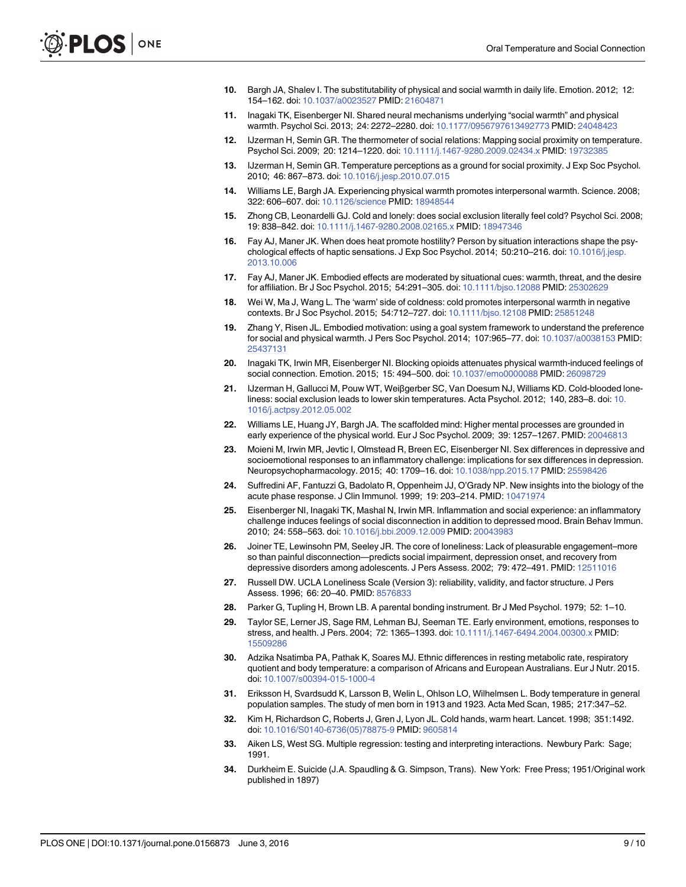- 10. Bargh JA, Shalev I. The substitutability of physical and social warmth in daily life. Emotion. 2012; 12: 154–162. doi: 10.1037/a0023527 PMID: 21604871
- 11. Inagaki TK, Eisenberger NI. Shared neural mechanisms underlying "social warmth" and physical warmth. Psychol Sci. 2013; 24: 2272–2280. doi: 10.1177/0956797613492773 PMID: 24048423
- 12. IJzerman H, Semin GR. The thermometer of social relations: Mapping social proximity on temperature. Psychol Sci. 2009; 20: 1214–1220. doi: 10.1111/j.1467-9280.2009.02434.x PMID: 19732385
- 13. IJzerman H, Semin GR. Temperature perceptions as a ground for social proximity. J Exp Soc Psychol. 2010; 46: 867–873. doi: 10.1016/j.jesp.2010.07.015
- 14. Williams LE, Bargh JA. Experiencing physical warmth promotes interpersonal warmth. Science. 2008; 322: 606–607. doi: 10.1126/science PMID: 18948544
- 15. Zhong CB, Leonardelli GJ. Cold and lonely: does social exclusion literally feel cold? Psychol Sci. 2008; 19: 838–842. doi: 10.1111/j.1467-9280.2008.02165.x PMID: 18947346
- 16. Fay AJ, Maner JK. When does heat promote hostility? Person by situation interactions shape the psychological effects of haptic sensations. J Exp Soc Psychol. 2014; 50:210-216. doi: 10.1016/j.jesp. 2013.10.006
- 17. Fay AJ, Maner JK. Embodied effects are moderated by situational cues: warmth, threat, and the desire for affiliation. Br J Soc Psychol. 2015; 54:291–305. doi: 10.1111/bjso.12088 PMID: 25302629
- 18. Wei W, Ma J, Wang L. The 'warm' side of coldness: cold promotes interpersonal warmth in negative contexts. Br J Soc Psychol. 2015; 54:712–727. doi: 10.1111/bjso.12108 PMID: 25851248
- 19. Zhang Y, Risen JL. Embodied motivation: using a goal system framework to understand the preference for social and physical warmth. J Pers Soc Psychol. 2014; 107:965–77. doi: 10.1037/a0038153 PMID: 25437131
- 20. Inagaki TK, Irwin MR, Eisenberger NI. Blocking opioids attenuates physical warmth-induced feelings of social connection. Emotion. 2015; 15: 494–500. doi: 10.1037/emo0000088 PMID: 26098729
- 21. IJzerman H, Gallucci M, Pouw WT, Weiβgerber SC, Van Doesum NJ, Williams KD. Cold-blooded loneliness: social exclusion leads to lower skin temperatures. Acta Psychol. 2012; 140, 283–8. doi: 10. 1016/j.actpsy.2012.05.002
- 22. Williams LE, Huang JY, Bargh JA. The scaffolded mind: Higher mental processes are grounded in early experience of the physical world. Eur J Soc Psychol. 2009; 39: 1257–1267. PMID: 20046813
- 23. Moieni M, Irwin MR, Jevtic I, Olmstead R, Breen EC, Eisenberger NI. Sex differences in depressive and socioemotional responses to an inflammatory challenge: implications for sex differences in depression. Neuropsychopharmacology. 2015; 40: 1709–16. doi: 10.1038/npp.2015.17 PMID: 25598426
- 24. Suffredini AF, Fantuzzi G, Badolato R, Oppenheim JJ, O'Grady NP. New insights into the biology of the acute phase response. J Clin Immunol. 1999; 19: 203–214. PMID: 10471974
- 25. Eisenberger NI, Inagaki TK, Mashal N, Irwin MR. Inflammation and social experience: an inflammatory challenge induces feelings of social disconnection in addition to depressed mood. Brain Behav Immun. 2010; 24: 558–563. doi: 10.1016/j.bbi.2009.12.009 PMID: 20043983
- 26. Joiner TE, Lewinsohn PM, Seeley JR. The core of loneliness: Lack of pleasurable engagement–more so than painful disconnection—predicts social impairment, depression onset, and recovery from depressive disorders among adolescents. J Pers Assess. 2002; 79: 472–491. PMID: 12511016
- 27. Russell DW. UCLA Loneliness Scale (Version 3): reliability, validity, and factor structure. J Pers Assess. 1996; 66: 20–40. PMID: 8576833
- 28. Parker G, Tupling H, Brown LB. A parental bonding instrument. Br J Med Psychol. 1979; 52: 1–10.
- 29. Taylor SE, Lerner JS, Sage RM, Lehman BJ, Seeman TE. Early environment, emotions, responses to stress, and health. J Pers. 2004; 72: 1365–1393. doi: 10.1111/j.1467-6494.2004.00300.x PMID: 15509286
- 30. Adzika Nsatimba PA, Pathak K, Soares MJ. Ethnic differences in resting metabolic rate, respiratory quotient and body temperature: a comparison of Africans and European Australians. Eur J Nutr. 2015. doi: 10.1007/s00394-015-1000-4
- 31. Eriksson H, Svardsudd K, Larsson B, Welin L, Ohlson LO, Wilhelmsen L. Body temperature in general population samples. The study of men born in 1913 and 1923. Acta Med Scan, 1985; 217:347–52.
- 32. Kim H, Richardson C, Roberts J, Gren J, Lyon JL. Cold hands, warm heart. Lancet. 1998; 351:1492. doi: 10.1016/S0140-6736(05)78875-9 PMID: 9605814
- 33. Aiken LS, West SG. Multiple regression: testing and interpreting interactions. Newbury Park: Sage; 1991.
- 34. Durkheim E. Suicide (J.A. Spaudling & G. Simpson, Trans). New York: Free Press; 1951/Original work published in 1897)